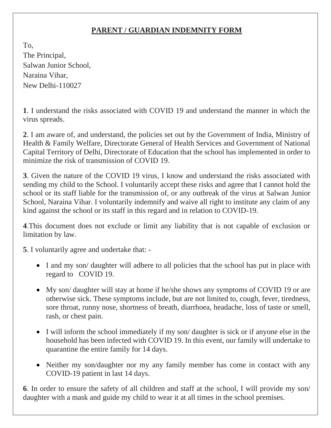## **PARENT / GUARDIAN INDEMNITY FORM**

To, The Principal, Salwan Junior School, Naraina Vihar, New Delhi-110027

**1**. I understand the risks associated with COVID 19 and understand the manner in which the virus spreads.

**2**. I am aware of, and understand, the policies set out by the Government of India, Ministry of Health & Family Welfare, Directorate General of Health Services and Government of National Capital Territory of Delhi, Directorate of Education that the school has implemented in order to minimize the risk of transmission of COVID 19.

**3**. Given the nature of the COVID 19 virus, I know and understand the risks associated with sending my child to the School. I voluntarily accept these risks and agree that I cannot hold the school or its staff liable for the transmission of, or any outbreak of the virus at Salwan Junior School, Naraina Vihar. I voluntarily indemnify and waive all right to institute any claim of any kind against the school or its staff in this regard and in relation to COVID-19.

**4**.This document does not exclude or limit any liability that is not capable of exclusion or limitation by law.

**5**. I voluntarily agree and undertake that: -

- I and my son/ daughter will adhere to all policies that the school has put in place with regard to COVID 19.
- My son/ daughter will stay at home if he/she shows any symptoms of COVID 19 or are otherwise sick. These symptoms include, but are not limited to, cough, fever, tiredness, sore throat, runny nose, shortness of breath, diarrhoea, headache, loss of taste or smell, rash, or chest pain.
- I will inform the school immediately if my son/daughter is sick or if anyone else in the household has been infected with COVID 19. In this event, our family will undertake to quarantine the entire family for 14 days.
- Neither my son/daughter nor my any family member has come in contact with any COVID-19 patient in last 14 days.

**6**. In order to ensure the safety of all children and staff at the school, I will provide my son/ daughter with a mask and guide my child to wear it at all times in the school premises.